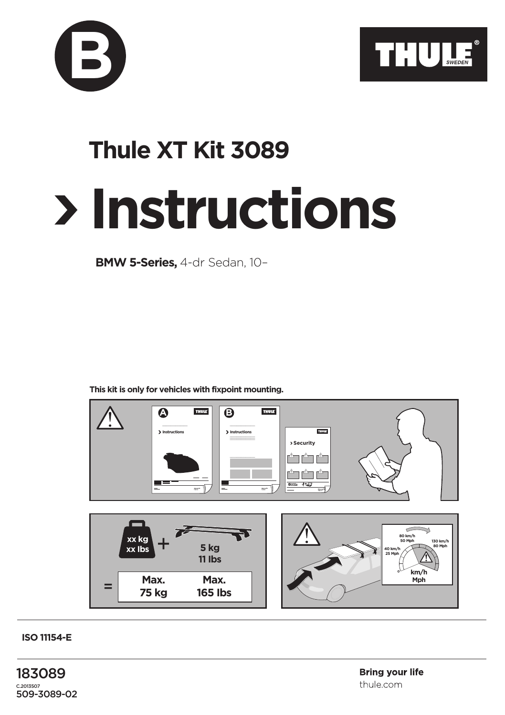



## **Instructions Thule XT Kit 3089**

**BMW 5-Series,** 4-dr Sedan, 10–

**This kit is only for vehicles with fixpoint mounting.**



**ISO 11154-E**

183089 C.2013507 509-3089-02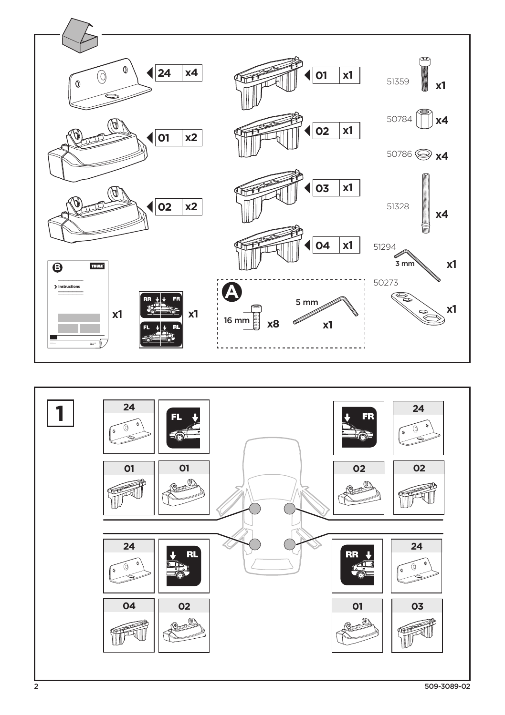

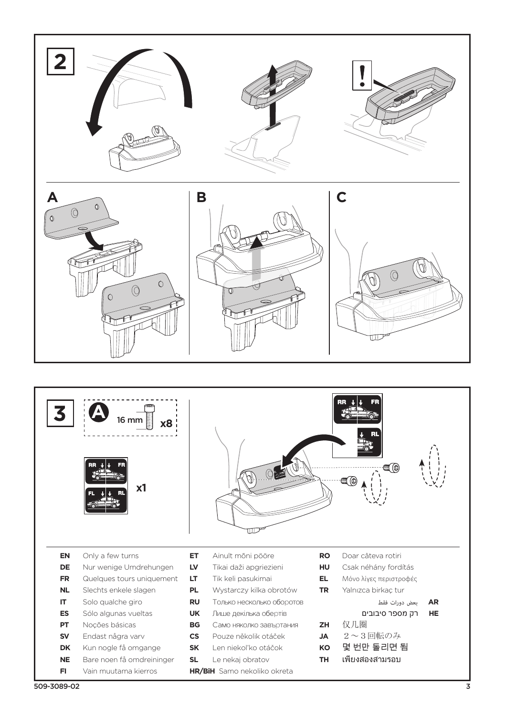